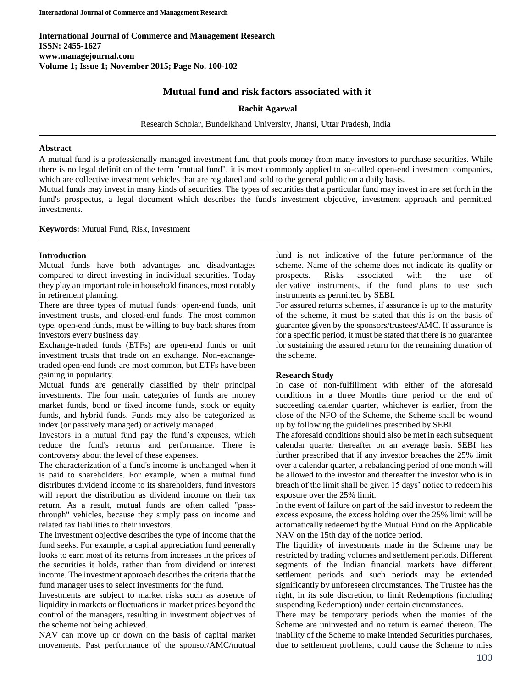# **Mutual fund and risk factors associated with it**

### **Rachit Agarwal**

Research Scholar, Bundelkhand University, Jhansi, Uttar Pradesh, India

#### **Abstract**

A mutual fund is a professionally managed investment fund that pools money from many investors to purchase securities. While there is no legal definition of the term "mutual fund", it is most commonly applied to so-called open-end investment companies, which are collective investment vehicles that are regulated and sold to the general public on a daily basis.

Mutual funds may invest in many kinds of securities. The types of securities that a particular fund may invest in are set forth in the fund's prospectus, a legal document which describes the fund's investment objective, investment approach and permitted investments.

#### **Keywords:** Mutual Fund, Risk, Investment

### **Introduction**

Mutual funds have both advantages and disadvantages compared to direct investing in individual securities. Today they play an important role in household finances, most notably in retirement planning.

There are three types of mutual funds: open-end funds, unit investment trusts, and closed-end funds. The most common type, open-end funds, must be willing to buy back shares from investors every business day.

Exchange-traded funds (ETFs) are open-end funds or unit investment trusts that trade on an exchange. Non-exchangetraded open-end funds are most common, but ETFs have been gaining in popularity.

Mutual funds are generally classified by their principal investments. The four main categories of funds are money market funds, bond or fixed income funds, stock or equity funds, and hybrid funds. Funds may also be categorized as index (or passively managed) or actively managed.

Investors in a mutual fund pay the fund's expenses, which reduce the fund's returns and performance. There is controversy about the level of these expenses.

The characterization of a fund's income is unchanged when it is paid to shareholders. For example, when a mutual fund distributes dividend income to its shareholders, fund investors will report the distribution as dividend income on their tax return. As a result, mutual funds are often called "passthrough" vehicles, because they simply pass on income and related tax liabilities to their investors.

The investment objective describes the type of income that the fund seeks. For example, a capital appreciation fund generally looks to earn most of its returns from increases in the prices of the securities it holds, rather than from dividend or interest income. The investment approach describes the criteria that the fund manager uses to select investments for the fund.

Investments are subject to market risks such as absence of liquidity in markets or fluctuations in market prices beyond the control of the managers, resulting in investment objectives of the scheme not being achieved.

NAV can move up or down on the basis of capital market movements. Past performance of the sponsor/AMC/mutual fund is not indicative of the future performance of the scheme. Name of the scheme does not indicate its quality or prospects. Risks associated with the use of derivative instruments, if the fund plans to use such instruments as permitted by SEBI.

For assured returns schemes, if assurance is up to the maturity of the scheme, it must be stated that this is on the basis of guarantee given by the sponsors/trustees/AMC. If assurance is for a specific period, it must be stated that there is no guarantee for sustaining the assured return for the remaining duration of the scheme.

## **Research Study**

In case of non-fulfillment with either of the aforesaid conditions in a three Months time period or the end of succeeding calendar quarter, whichever is earlier, from the close of the NFO of the Scheme, the Scheme shall be wound up by following the guidelines prescribed by SEBI.

The aforesaid conditions should also be met in each subsequent calendar quarter thereafter on an average basis. SEBI has further prescribed that if any investor breaches the 25% limit over a calendar quarter, a rebalancing period of one month will be allowed to the investor and thereafter the investor who is in breach of the limit shall be given 15 days' notice to redeem his exposure over the 25% limit.

In the event of failure on part of the said investor to redeem the excess exposure, the excess holding over the 25% limit will be automatically redeemed by the Mutual Fund on the Applicable NAV on the 15th day of the notice period.

The liquidity of investments made in the Scheme may be restricted by trading volumes and settlement periods. Different segments of the Indian financial markets have different settlement periods and such periods may be extended significantly by unforeseen circumstances. The Trustee has the right, in its sole discretion, to limit Redemptions (including suspending Redemption) under certain circumstances.

There may be temporary periods when the monies of the Scheme are uninvested and no return is earned thereon. The inability of the Scheme to make intended Securities purchases, due to settlement problems, could cause the Scheme to miss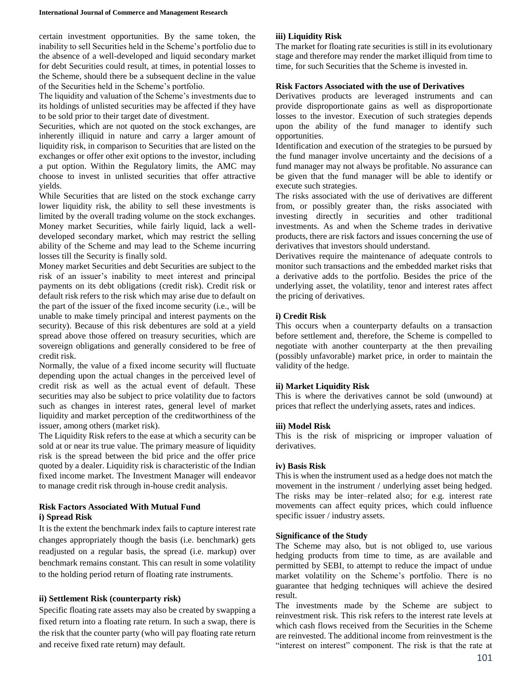certain investment opportunities. By the same token, the inability to sell Securities held in the Scheme's portfolio due to the absence of a well-developed and liquid secondary market for debt Securities could result, at times, in potential losses to the Scheme, should there be a subsequent decline in the value of the Securities held in the Scheme's portfolio.

The liquidity and valuation of the Scheme's investments due to its holdings of unlisted securities may be affected if they have to be sold prior to their target date of divestment.

Securities, which are not quoted on the stock exchanges, are inherently illiquid in nature and carry a larger amount of liquidity risk, in comparison to Securities that are listed on the exchanges or offer other exit options to the investor, including a put option. Within the Regulatory limits, the AMC may choose to invest in unlisted securities that offer attractive yields.

While Securities that are listed on the stock exchange carry lower liquidity risk, the ability to sell these investments is limited by the overall trading volume on the stock exchanges. Money market Securities, while fairly liquid, lack a welldeveloped secondary market, which may restrict the selling ability of the Scheme and may lead to the Scheme incurring losses till the Security is finally sold.

Money market Securities and debt Securities are subject to the risk of an issuer's inability to meet interest and principal payments on its debt obligations (credit risk). Credit risk or default risk refers to the risk which may arise due to default on the part of the issuer of the fixed income security (i.e., will be unable to make timely principal and interest payments on the security). Because of this risk debentures are sold at a yield spread above those offered on treasury securities, which are sovereign obligations and generally considered to be free of credit risk.

Normally, the value of a fixed income security will fluctuate depending upon the actual changes in the perceived level of credit risk as well as the actual event of default. These securities may also be subject to price volatility due to factors such as changes in interest rates, general level of market liquidity and market perception of the creditworthiness of the issuer, among others (market risk).

The Liquidity Risk refers to the ease at which a security can be sold at or near its true value. The primary measure of liquidity risk is the spread between the bid price and the offer price quoted by a dealer. Liquidity risk is characteristic of the Indian fixed income market. The Investment Manager will endeavor to manage credit risk through in-house credit analysis.

## **Risk Factors Associated With Mutual Fund i) Spread Risk**

It is the extent the benchmark index fails to capture interest rate changes appropriately though the basis (i.e. benchmark) gets readjusted on a regular basis, the spread (i.e. markup) over benchmark remains constant. This can result in some volatility to the holding period return of floating rate instruments.

## **ii) Settlement Risk (counterparty risk)**

Specific floating rate assets may also be created by swapping a fixed return into a floating rate return. In such a swap, there is the risk that the counter party (who will pay floating rate return and receive fixed rate return) may default.

### **iii) Liquidity Risk**

The market for floating rate securities is still in its evolutionary stage and therefore may render the market illiquid from time to time, for such Securities that the Scheme is invested in.

#### **Risk Factors Associated with the use of Derivatives**

Derivatives products are leveraged instruments and can provide disproportionate gains as well as disproportionate losses to the investor. Execution of such strategies depends upon the ability of the fund manager to identify such opportunities.

Identification and execution of the strategies to be pursued by the fund manager involve uncertainty and the decisions of a fund manager may not always be profitable. No assurance can be given that the fund manager will be able to identify or execute such strategies.

The risks associated with the use of derivatives are different from, or possibly greater than, the risks associated with investing directly in securities and other traditional investments. As and when the Scheme trades in derivative products, there are risk factors and issues concerning the use of derivatives that investors should understand.

Derivatives require the maintenance of adequate controls to monitor such transactions and the embedded market risks that a derivative adds to the portfolio. Besides the price of the underlying asset, the volatility, tenor and interest rates affect the pricing of derivatives.

### **i) Credit Risk**

This occurs when a counterparty defaults on a transaction before settlement and, therefore, the Scheme is compelled to negotiate with another counterparty at the then prevailing (possibly unfavorable) market price, in order to maintain the validity of the hedge.

#### **ii) Market Liquidity Risk**

This is where the derivatives cannot be sold (unwound) at prices that reflect the underlying assets, rates and indices.

#### **iii) Model Risk**

This is the risk of mispricing or improper valuation of derivatives.

#### **iv) Basis Risk**

This is when the instrument used as a hedge does not match the movement in the instrument / underlying asset being hedged. The risks may be inter–related also; for e.g. interest rate movements can affect equity prices, which could influence specific issuer / industry assets.

#### **Significance of the Study**

The Scheme may also, but is not obliged to, use various hedging products from time to time, as are available and permitted by SEBI, to attempt to reduce the impact of undue market volatility on the Scheme's portfolio. There is no guarantee that hedging techniques will achieve the desired result.

The investments made by the Scheme are subject to reinvestment risk. This risk refers to the interest rate levels at which cash flows received from the Securities in the Scheme are reinvested. The additional income from reinvestment is the "interest on interest" component. The risk is that the rate at